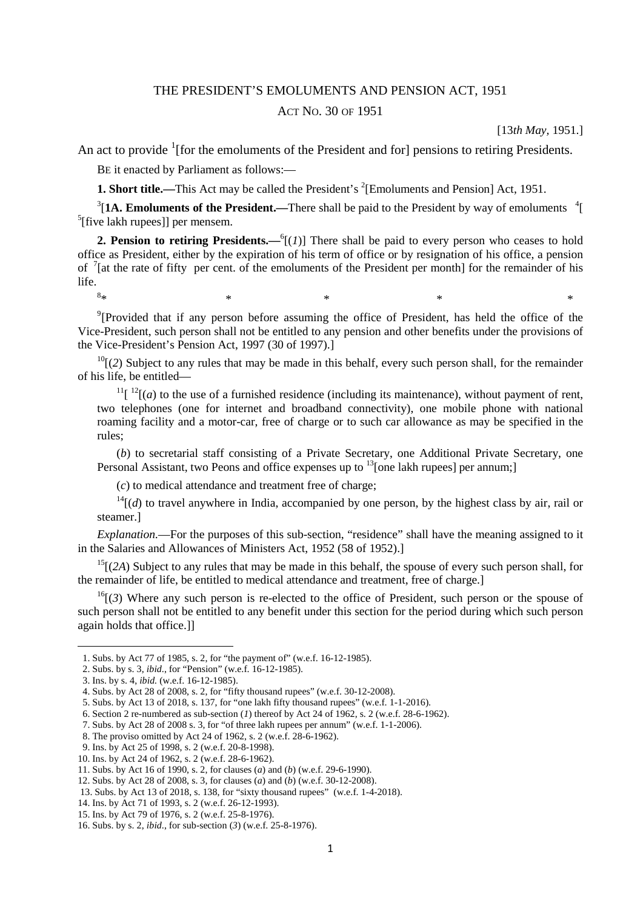## THE PRESIDENT'S EMOLUMENTS AND PENSION ACT, 1951

## ACT NO. 30 OF 1951

[13*th May,* 1951.]

An act to provide  $\frac{1}{1}$  [for the emoluments of the President and for] pensions to retiring Presidents.

BE it enacted by Parliament as follows:—

 $8*$ 

**1. Short title.**—This Act may be called the President's <sup>2</sup>[Emoluments and Pension] Act, 1951.

 $3$ [1A. Emoluments of the President.—There shall be paid to the President by way of emoluments  $4$ [ 5 [five lakh rupees]] per mensem.

**2. Pension to retiring Presidents.**— $^{6}$ [(*1*)] There shall be paid to every person who ceases to hold office as President, either by the expiration of his term of office or by resignation of his office, a pension of  $\frac{7}{1}$  at the rate of fifty per cent. of the emoluments of the President per month] for the remainder of his life.

<sup>9</sup>[Provided that if any person before assuming the office of President, has held the office of the Vice-President, such person shall not be entitled to any pension and other benefits under the provisions of the Vice-President's Pension Act, 1997 (30 of 1997).]

 $*$   $*$   $*$   $*$   $*$   $*$   $*$ 

 $^{10}$ [(2) Subject to any rules that may be made in this behalf, every such person shall, for the remainder of his life, be entitled—

 $11$ [ $12$ [(*a*) to the use of a furnished residence (including its maintenance), without payment of rent, two telephones (one for internet and broadband connectivity), one mobile phone with national roaming facility and a motor-car, free of charge or to such car allowance as may be specified in the rules;

(*b*) to secretarial staff consisting of a Private Secretary, one Additional Private Secretary, one Personal Assistant, two Peons and office expenses up to <sup>13</sup>[one lakh rupees] per annum;]

(*c*) to medical attendance and treatment free of charge;

 $14$ [(*d*) to travel anywhere in India, accompanied by one person, by the highest class by air, rail or steamer.]

*Explanation.*—For the purposes of this sub-section, "residence" shall have the meaning assigned to it in the Salaries and Allowances of Ministers Act, 1952 (58 of 1952).]

<sup>15</sup>[(2A) Subject to any rules that may be made in this behalf, the spouse of every such person shall, for the remainder of life, be entitled to medical attendance and treatment, free of charge.]

 $^{16}$ [(3) Where any such person is re-elected to the office of President, such person or the spouse of such person shall not be entitled to any benefit under this section for the period during which such person again holds that office.]]

 <sup>1.</sup> Subs. by Act 77 of 1985, s. 2, for "the payment of" (w.e.f. 16-12-1985).

 <sup>2.</sup> Subs. by s. 3, *ibid*., for "Pension" (w.e.f. 16-12-1985).

 <sup>3.</sup> Ins. by s. 4, *ibid.* (w.e.f. 16-12-1985).

 <sup>4.</sup> Subs. by Act 28 of 2008, s. 2, for "fifty thousand rupees" (w.e.f. 30-12-2008).

 <sup>5.</sup> Subs. by Act 13 of 2018, s. 137, for "one lakh fifty thousand rupees" (w.e.f. 1-1-2016).

 <sup>6.</sup> Section 2 re-numbered as sub-section (*1*) thereof by Act 24 of 1962, s. 2 (w.e.f. 28-6-1962).

 <sup>7.</sup> Subs. by Act 28 of 2008 s. 3, for "of three lakh rupees per annum" (w.e.f. 1-1-2006).

 <sup>8.</sup> The proviso omitted by Act 24 of 1962, s. 2 (w.e.f. 28-6-1962).

 <sup>9.</sup> Ins. by Act 25 of 1998, s. 2 (w.e.f. 20-8-1998).

<sup>10.</sup> Ins. by Act 24 of 1962, s. 2 (w.e.f. 28-6-1962).

<sup>11.</sup> Subs. by Act 16 of 1990, s. 2, for clauses (*a*) and (*b*) (w.e.f. 29-6-1990).

<sup>12.</sup> Subs. by Act 28 of 2008, s. 3, for clauses (*a*) and (*b*) (w.e.f. 30-12-2008).

 <sup>13.</sup> Subs. by Act 13 of 2018, s. 138, for "sixty thousand rupees" (w.e.f. 1-4-2018).

<sup>14.</sup> Ins. by Act 71 of 1993, s. 2 (w.e.f. 26-12-1993).

<sup>15.</sup> Ins. by Act 79 of 1976, s. 2 (w.e.f. 25-8-1976).

<sup>16.</sup> Subs. by s. 2, *ibid*., for sub-section (*3*) (w.e.f. 25-8-1976).